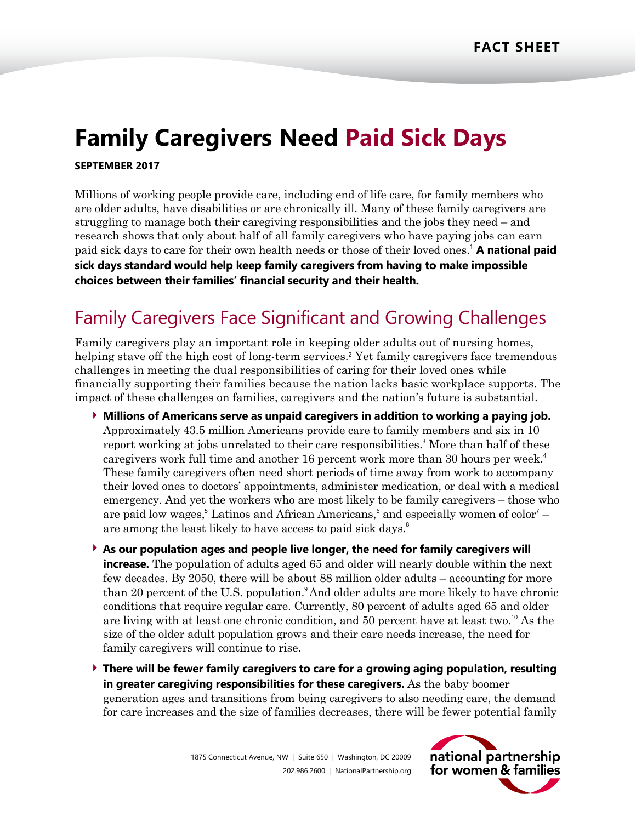# **Family Caregivers Need Paid Sick Days**

### **SEPTEMBER 2017**

Millions of working people provide care, including end of life care, for family members who are older adults, have disabilities or are chronically ill. Many of these family caregivers are struggling to manage both their caregiving responsibilities and the jobs they need – and research shows that only about half of all family caregivers who have paying jobs can earn paid sick days to care for their own health needs or those of their loved ones. <sup>1</sup> **A national paid sick days standard would help keep family caregivers from having to make impossible choices between their families' financial security and their health.**

## Family Caregivers Face Significant and Growing Challenges

Family caregivers play an important role in keeping older adults out of nursing homes, helping stave off the high cost of long-term services.<sup>2</sup> Yet family caregivers face tremendous challenges in meeting the dual responsibilities of caring for their loved ones while financially supporting their families because the nation lacks basic workplace supports. The impact of these challenges on families, caregivers and the nation's future is substantial.

- **Millions of Americans serve as unpaid caregivers in addition to working a paying job.** Approximately 43.5 million Americans provide care to family members and six in 10 report working at jobs unrelated to their care responsibilities. <sup>3</sup> More than half of these caregivers work full time and another 16 percent work more than 30 hours per week.<sup>4</sup> These family caregivers often need short periods of time away from work to accompany their loved ones to doctors' appointments, administer medication, or deal with a medical emergency. And yet the workers who are most likely to be family caregivers – those who are paid low wages,<sup>5</sup> Latinos and African Americans,<sup>6</sup> and especially women of color<sup>7</sup> – are among the least likely to have access to paid sick days.<sup>8</sup>
- **As our population ages and people live longer, the need for family caregivers will increase.** The population of adults aged 65 and older will nearly double within the next few decades. By 2050, there will be about 88 million older adults – accounting for more than 20 percent of the U.S. population. And older adults are more likely to have chronic conditions that require regular care. Currently, 80 percent of adults aged 65 and older are living with at least one chronic condition, and 50 percent have at least two.<sup>10</sup> As the size of the older adult population grows and their care needs increase, the need for family caregivers will continue to rise.
- **There will be fewer family caregivers to care for a growing aging population, resulting in greater caregiving responsibilities for these caregivers.** As the baby boomer generation ages and transitions from being caregivers to also needing care, the demand for care increases and the size of families decreases, there will be fewer potential family

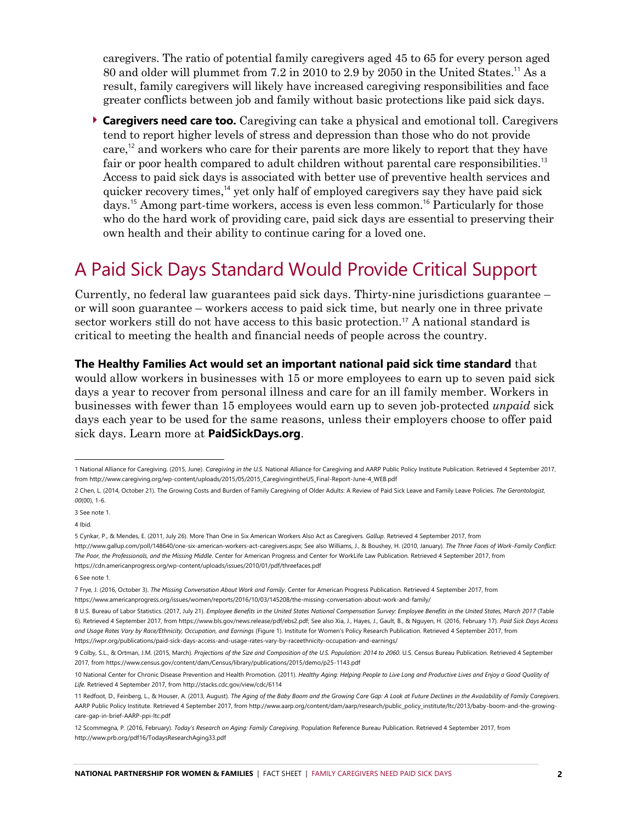caregivers. The ratio of potential family caregivers aged 45 to 65 for every person aged 80 and older will plummet from 7.2 in 2010 to 2.9 by 2050 in the United States.<sup>11</sup> As a result, family caregivers will likely have increased caregiving responsibilities and face greater conflicts between job and family without basic protections like paid sick days.

 **Caregivers need care too.** Caregiving can take a physical and emotional toll. Caregivers tend to report higher levels of stress and depression than those who do not provide care,<sup>12</sup> and workers who care for their parents are more likely to report that they have fair or poor health compared to adult children without parental care responsibilities.<sup>13</sup> Access to paid sick days is associated with better use of preventive health services and quicker recovery times, <sup>14</sup> yet only half of employed caregivers say they have paid sick days.<sup>15</sup> Among part-time workers, access is even less common.<sup>16</sup> Particularly for those who do the hard work of providing care, paid sick days are essential to preserving their own health and their ability to continue caring for a loved one.

### A Paid Sick Days Standard Would Provide Critical Support

Currently, no federal law guarantees paid sick days. Thirty-nine jurisdictions guarantee – or will soon guarantee – workers access to paid sick time, but nearly one in three private sector workers still do not have access to this basic protection.<sup>17</sup> A national standard is critical to meeting the health and financial needs of people across the country.

#### **The Healthy Families Act would set an important national paid sick time standard** that

would allow workers in businesses with 15 or more employees to earn up to seven paid sick days a year to recover from personal illness and care for an ill family member. Workers in businesses with fewer than 15 employees would earn up to seven job-protected *unpaid* sick days each year to be used for the same reasons, unless their employers choose to offer paid sick days. Learn more at **[PaidSickDays.org](http://www.paidsickdays.org/)**.

l

<sup>1</sup> National Alliance for Caregiving. (2015, June). *Caregiving in the U.S.* National Alliance for Caregiving and AARP Public Policy Institute Publication. Retrieved 4 September 2017, from [http://www.caregiving.org/wp-content/uploads/2015/05/2015\\_CaregivingintheUS\\_Final-Report-June-4\\_WEB.pdf](http://www.caregiving.org/wp-content/uploads/2015/05/2015_CaregivingintheUS_Final-Report-June-4_WEB.pdf)

<sup>2</sup> Chen, L. (2014, October 21). The Growing Costs and Burden of Family Caregiving of Older Adults: A Review of Paid Sick Leave and Family Leave Policies. *The Gerontologist*, *00*(00), 1-6.

<sup>3</sup> See note 1.

<sup>4</sup> Ibid.

<sup>5</sup> Cynkar, P., & Mendes, E. (2011, July 26). More Than One in Six American Workers Also Act as Caregivers. *Gallup*. Retrieved 4 September 2017, from [http://www.gallup.com/poll/148640/one-six-american-workers-act-caregivers.aspx;](http://www.gallup.com/poll/148640/one-six-american-workers-act-caregivers.aspx) See also Williams, J., & Boushey, H. (2010, January). *The Three Faces of Work-Family Conflict:* 

*The Poor, the Professionals, and the Missing Middle*. Center for American Progress and Center for WorkLife Law Publication. Retrieved 4 September 2017, from <https://cdn.americanprogress.org/wp-content/uploads/issues/2010/01/pdf/threefaces.pdf>

<sup>6</sup> See note 1.

<sup>7</sup> Frye, J. (2016, October 3). *The Missing Conversation About Work and Family*. Center for American Progress Publication. Retrieved 4 September 2017, from https://www.americanprogress.org/issues/women/reports/2016/10/03/145208/the-missing-conversation-about-work-and-family/

<sup>8</sup> U.S. Bureau of Labor Statistics. (2017, July 21). *Employee Benefits in the United States National Compensation Survey: Employee Benefits in the United States, March 2017* (Table 6). Retrieved 4 September 2017, from https://www.bls.gov/news.release/pdf/ebs2.pdf; See also Xia, J., Hayes, J., Gault, B., & Nguyen, H. (2016, February 17). *Paid Sick Days Access and Usage Rates Vary by Race/Ethnicity, Occupation, and Earnings* (Figure 1). Institute for Women's Policy Research Publication. Retrieved 4 September 2017, from https://iwpr.org/publications/paid-sick-days-access-and-usage-rates-vary-by-raceethnicity-occupation-and-earnings/

<sup>9</sup> Colby, S.L., & Ortman, J.M. (2015, March). *Projections of the Size and Composition of the U.S. Population: 2014 to 2060.* U.S. Census Bureau Publication. Retrieved 4 September 2017, from <https://www.census.gov/content/dam/Census/library/publications/2015/demo/p25-1143.pdf>

<sup>10</sup> National Center for Chronic Disease Prevention and Health Promotion. (2011). *Healthy Aging: Helping People to Live Long and Productive Lives and Enjoy a Good Quality of Life.* Retrieved 4 September 2017, fro[m http://stacks.cdc.gov/view/cdc/6114](http://stacks.cdc.gov/view/cdc/6114)

<sup>11</sup> Redfoot, D., Feinberg, L., & Houser, A. (2013, August). *The Aging of the Baby Boom and the Growing Care Gap: A Look at Future Declines in the Availability of Family Caregivers.*  AARP Public Policy Institute. Retrieved 4 September 2017, from http://www.aarp.org/content/dam/aarp/research/public\_policy\_institute/ltc/2013/baby-boom-and-the-growingcare-gap-in-brief-AARP-ppi-ltc.pdf

<sup>12</sup> Scommegna, P. (2016, February). *Today's Research on Aging: Family Caregiving*. Population Reference Bureau Publication. Retrieved 4 September 2017, from http://www.prb.org/pdf16/TodaysResearchAging33.pdf